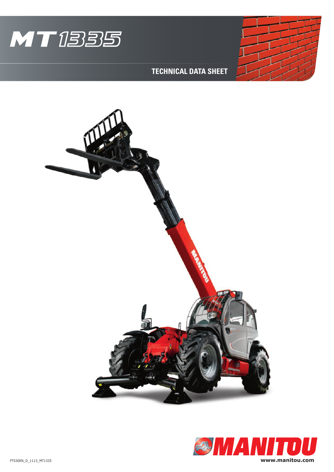



## **TECHNICAL DATA SHEET**



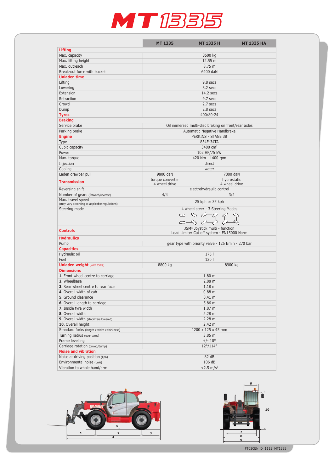## MT1335

|                                                                     | <b>MT 1335</b>                                                               | <b>MT 1335 H</b>             | <b>MT 1335 HA</b> |  |
|---------------------------------------------------------------------|------------------------------------------------------------------------------|------------------------------|-------------------|--|
| <b>Lifting</b>                                                      |                                                                              |                              |                   |  |
| Max. capacity                                                       | 3500 kg                                                                      |                              |                   |  |
| Max. lifting height                                                 | 12.55 m                                                                      |                              |                   |  |
| Max. outreach                                                       | 8.75 m                                                                       |                              |                   |  |
| Break-out force with bucket                                         | 6400 daN                                                                     |                              |                   |  |
| <b>Unladen time</b>                                                 |                                                                              |                              |                   |  |
| Lifting                                                             | 9.8 secs                                                                     |                              |                   |  |
| Lowering                                                            | 8.2 secs                                                                     |                              |                   |  |
| Extension                                                           | 14.2 secs                                                                    |                              |                   |  |
| Retraction                                                          | 9.7 secs                                                                     |                              |                   |  |
| Crowd                                                               | 2.7 secs                                                                     |                              |                   |  |
| Dump                                                                | 2.8 secs                                                                     |                              |                   |  |
| <b>Tyres</b>                                                        | 400/80-24                                                                    |                              |                   |  |
| <b>Braking</b>                                                      |                                                                              |                              |                   |  |
| Service brake                                                       | Oil immersed multi-disc braking on front/rear axles                          |                              |                   |  |
| Parking brake                                                       | Automatic Negative Handbrake                                                 |                              |                   |  |
| <b>Engine</b>                                                       | PERKINS - STAGE 3B                                                           |                              |                   |  |
| Type                                                                | 854E-34TA                                                                    |                              |                   |  |
| Cubic capacity                                                      | 3400 $cm3$                                                                   |                              |                   |  |
| Power                                                               | 102 HP/75 kW                                                                 |                              |                   |  |
| Max. torque                                                         | 420 Nm - 1400 rpm                                                            |                              |                   |  |
| Injection                                                           | direct                                                                       |                              |                   |  |
| Cooling                                                             | water                                                                        |                              |                   |  |
| Laden drawbar pull                                                  | 9800 daN                                                                     |                              | 7800 daN          |  |
| <b>Transmission</b>                                                 | torque converter<br>4 wheel drive                                            | hydrostatic<br>4 wheel drive |                   |  |
| Reversing shift                                                     |                                                                              | electrohydraulic control     |                   |  |
| Number of gears (forward/reverse)                                   | 4/4<br>3/2                                                                   |                              |                   |  |
| Max. travel speed<br>(may vary according to applicable regulations) | 25 kph or 35 kph                                                             |                              |                   |  |
| Steering mode                                                       | 4 wheel steer - 3 Steering Modes                                             |                              |                   |  |
|                                                                     | $\mathbb{C}$<br>$\mathbb{C}^{\mathbb{C}}$<br>KC7-<br>وثامك<br>KC.            |                              |                   |  |
| <b>Controls</b>                                                     | JSM® Joystick multi - function<br>Load Limiter Cut off system - EN15000 Norm |                              |                   |  |
| <b>Hydraulics</b>                                                   |                                                                              |                              |                   |  |
| Pump<br>gear type with priority valve - 125 l/min - 270 bar         |                                                                              |                              |                   |  |
| <b>Capacities</b>                                                   |                                                                              |                              |                   |  |
| Hydraulic oil                                                       | 175 <sub>1</sub>                                                             |                              |                   |  |
| Fuel                                                                |                                                                              | 120  <br>8900 kg             |                   |  |
| <b>Unladen weight (with forks)</b>                                  | 8800 kg                                                                      |                              |                   |  |
| <b>Dimensions</b><br>1. Front wheel centre to carriage              | 1.80 <sub>m</sub>                                                            |                              |                   |  |
| 2. Wheelbase                                                        | 2.88 m                                                                       |                              |                   |  |
| 3. Rear wheel centre to rear face                                   | 1.18 <sub>m</sub>                                                            |                              |                   |  |
| 4. Overall width of cab                                             | $0.88$ m                                                                     |                              |                   |  |
| 5. Ground clearance                                                 | 0.41 m                                                                       |                              |                   |  |
| 6. Overall length to carriage                                       | 5.86 m                                                                       |                              |                   |  |
| 7. Inside tyre width                                                | 1.87 <sub>m</sub>                                                            |                              |                   |  |
| 8. Overall width                                                    | 2.28 m                                                                       |                              |                   |  |
| 9. Overall width (stabilizers lowered)                              | 2.28 m                                                                       |                              |                   |  |
| 10. Overall height                                                  | 2.42 m                                                                       |                              |                   |  |
| Standard forks (length x width x thickness)                         | 1200 x 125 x 45 mm                                                           |                              |                   |  |
| Turning radius (over tyres)                                         | 3.85 <sub>m</sub>                                                            |                              |                   |  |
| Frame levelling                                                     | $+/- 10^{\circ}$                                                             |                              |                   |  |
| Carriage rotation (crowd/dump)                                      | $12^{\circ}/114^{\circ}$                                                     |                              |                   |  |
| <b>Noise and vibration</b>                                          |                                                                              |                              |                   |  |
| Noise at driving position (LpA)                                     | 82 dB                                                                        |                              |                   |  |
| Environmental noise (LwA)                                           | 106 dB                                                                       |                              |                   |  |
| Vibration to whole hand/arm                                         | $< 2.5$ m/s <sup>2</sup>                                                     |                              |                   |  |



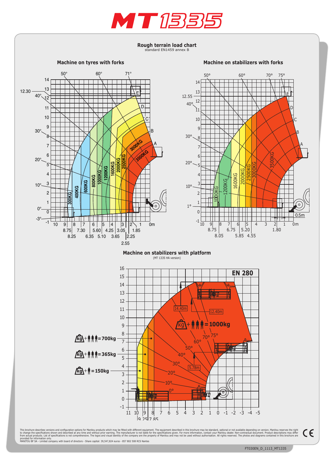

Rough terrain load chart standard EN1459 annex B

Machine on tyres with forks

Machine on stabilizers with forks



This brochure describes versions and configuration options for Manitou products which may be fitted with different equipment. The equipment described in this brochure may be standard, optional or not available depending on

 $\epsilon$